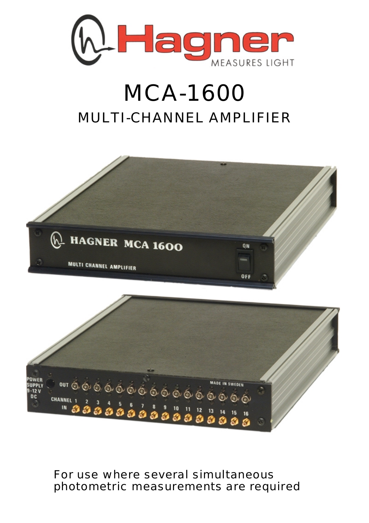

## MCA-1600 MULTI-CHANNEL AMPLIFIER



For use where several simultaneous photometric measurements are required